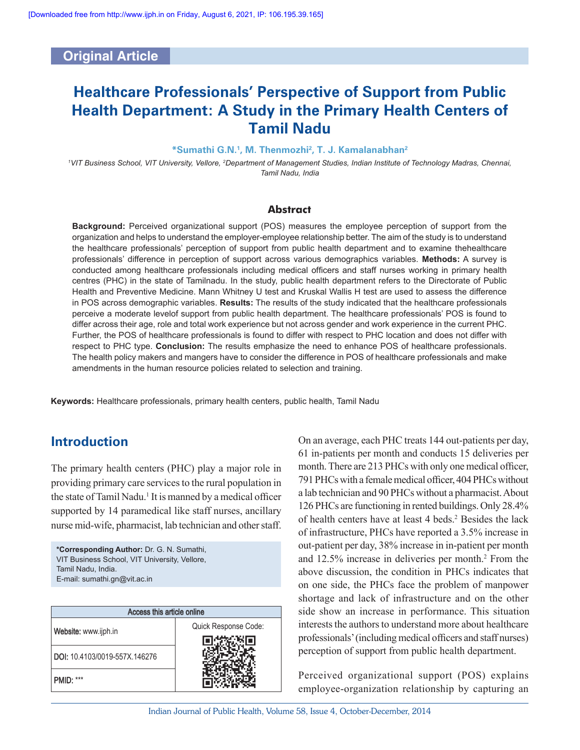# **Original Article**

# **Healthcare Professionals' Perspective of Support from Public Health Department: A Study in the Primary Health Centers of Tamil Nadu**

### **\*Sumathi G.N.<sup>1</sup> , M. Thenmozhi<sup>2</sup> , T. J. Kamalanabhan<sup>2</sup>**

*<sup>1</sup>VIT Business School, VIT University, Vellore, <sup>2</sup>Department of Management Studies, Indian Institute of Technology Madras, Chennai, Tamil Nadu, India*

### **Abstract**

**Background:** Perceived organizational support (POS) measures the employee perception of support from the organization and helps to understand the employer-employee relationship better. The aim of the study is to understand the healthcare professionals' perception of support from public health department and to examine thehealthcare professionals' difference in perception of support across various demographics variables. **Methods:** A survey is conducted among healthcare professionals including medical officers and staff nurses working in primary health centres (PHC) in the state of Tamilnadu. In the study, public health department refers to the Directorate of Public Health and Preventive Medicine. Mann Whitney U test and Kruskal Wallis H test are used to assess the difference in POS across demographic variables. **Results:** The results of the study indicated that the healthcare professionals perceive a moderate levelof support from public health department. The healthcare professionals' POS is found to differ across their age, role and total work experience but not across gender and work experience in the current PHC. Further, the POS of healthcare professionals is found to differ with respect to PHC location and does not differ with respect to PHC type. **Conclusion:** The results emphasize the need to enhance POS of healthcare professionals. The health policy makers and mangers have to consider the difference in POS of healthcare professionals and make amendments in the human resource policies related to selection and training.

**Keywords:** Healthcare professionals, primary health centers, public health, Tamil Nadu

# **Introduction**

The primary health centers (PHC) play a major role in providing primary care services to the rural population in the state of Tamil Nadu.<sup>1</sup> It is manned by a medical officer supported by 14 paramedical like staff nurses, ancillary nurse mid-wife, pharmacist, lab technician and other staff.

**\*Corresponding Author:** Dr. G. N. Sumathi, VIT Business School, VIT University, Vellore, Tamil Nadu, India. E-mail: sumathi.gn@vit.ac.in

| Access this article online    |                      |  |  |  |  |  |
|-------------------------------|----------------------|--|--|--|--|--|
| Website: www.ijph.in          | Quick Response Code: |  |  |  |  |  |
| DOI: 10.4103/0019-557X.146276 |                      |  |  |  |  |  |
| <b>PMID: ***</b>              |                      |  |  |  |  |  |

On an average, each PHC treats 144 out-patients per day, 61 in-patients per month and conducts 15 deliveries per month. There are 213 PHCs with only one medical officer, 791 PHCs with a female medical officer, 404 PHCs without a lab technician and 90 PHCs without a pharmacist. About 126 PHCs are functioning in rented buildings. Only 28.4% of health centers have at least 4 beds.<sup>2</sup> Besides the lack of infrastructure, PHCs have reported a 3.5% increase in out-patient per day, 38% increase in in-patient per month and 12.5% increase in deliveries per month.<sup>2</sup> From the above discussion, the condition in PHCs indicates that on one side, the PHCs face the problem of manpower shortage and lack of infrastructure and on the other side show an increase in performance. This situation interests the authors to understand more about healthcare professionals' (including medical officers and staff nurses) perception of support from public health department.

Perceived organizational support (POS) explains employee-organization relationship by capturing an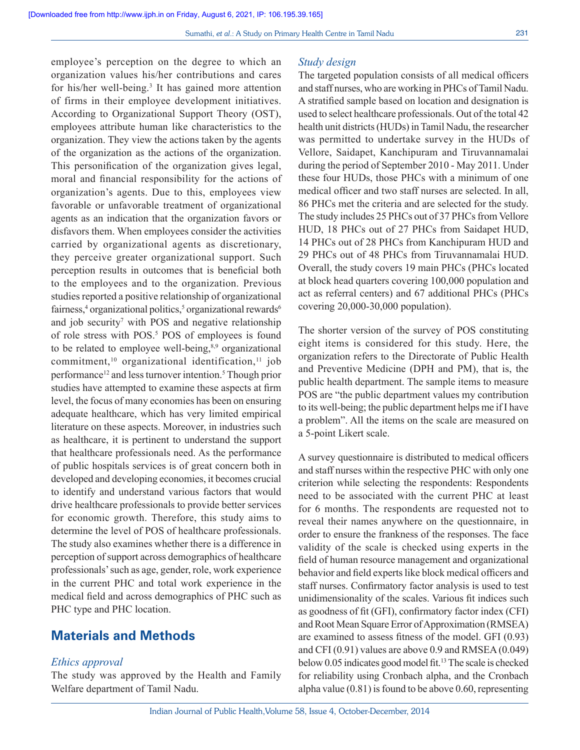employee's perception on the degree to which an organization values his/her contributions and cares for his/her well-being.<sup>3</sup> It has gained more attention of firms in their employee development initiatives. According to Organizational Support Theory (OST), employees attribute human like characteristics to the organization. They view the actions taken by the agents of the organization as the actions of the organization. This personification of the organization gives legal, moral and financial responsibility for the actions of organization's agents. Due to this, employees view favorable or unfavorable treatment of organizational agents as an indication that the organization favors or disfavors them. When employees consider the activities carried by organizational agents as discretionary, they perceive greater organizational support. Such perception results in outcomes that is beneficial both to the employees and to the organization. Previous studies reported a positive relationship of organizational fairness,<sup>4</sup> organizational politics,<sup>5</sup> organizational rewards<sup>6</sup> and job security<sup>7</sup> with POS and negative relationship of role stress with POS.<sup>5</sup> POS of employees is found to be related to employee well-being,<sup>8,9</sup> organizational commitment,<sup>10</sup> organizational identification,<sup>11</sup> job performance<sup>12</sup> and less turnover intention.<sup>5</sup> Though prior studies have attempted to examine these aspects at firm level, the focus of many economies has been on ensuring adequate healthcare, which has very limited empirical literature on these aspects. Moreover, in industries such as healthcare, it is pertinent to understand the support that healthcare professionals need. As the performance of public hospitals services is of great concern both in developed and developing economies, it becomes crucial to identify and understand various factors that would drive healthcare professionals to provide better services for economic growth. Therefore, this study aims to determine the level of POS of healthcare professionals. The study also examines whether there is a difference in perception of support across demographics of healthcare professionals' such as age, gender, role, work experience in the current PHC and total work experience in the medical field and across demographics of PHC such as PHC type and PHC location.

# **Materials and Methods**

### *Ethics approval*

The study was approved by the Health and Family Welfare department of Tamil Nadu.

### *Study design*

The targeted population consists of all medical officers and staff nurses, who are working in PHCs of Tamil Nadu. A stratified sample based on location and designation is used to select healthcare professionals. Out of the total 42 health unit districts (HUDs) in Tamil Nadu, the researcher was permitted to undertake survey in the HUDs of Vellore, Saidapet, Kanchipuram and Tiruvannamalai during the period of September 2010 - May 2011. Under these four HUDs, those PHCs with a minimum of one medical officer and two staff nurses are selected. In all, 86 PHCs met the criteria and are selected for the study. The study includes 25 PHCs out of 37 PHCs from Vellore HUD, 18 PHCs out of 27 PHCs from Saidapet HUD, 14 PHCs out of 28 PHCs from Kanchipuram HUD and 29 PHCs out of 48 PHCs from Tiruvannamalai HUD. Overall, the study covers 19 main PHCs (PHCs located at block head quarters covering 100,000 population and act as referral centers) and 67 additional PHCs (PHCs covering 20,000-30,000 population).

The shorter version of the survey of POS constituting eight items is considered for this study. Here, the organization refers to the Directorate of Public Health and Preventive Medicine (DPH and PM), that is, the public health department. The sample items to measure POS are "the public department values my contribution to its well-being; the public department helps me if I have a problem". All the items on the scale are measured on a 5-point Likert scale.

A survey questionnaire is distributed to medical officers and staff nurses within the respective PHC with only one criterion while selecting the respondents: Respondents need to be associated with the current PHC at least for 6 months. The respondents are requested not to reveal their names anywhere on the questionnaire, in order to ensure the frankness of the responses. The face validity of the scale is checked using experts in the field of human resource management and organizational behavior and field experts like block medical officers and staff nurses. Confirmatory factor analysis is used to test unidimensionality of the scales. Various fit indices such as goodness of fit (GFI), confirmatory factor index (CFI) and Root Mean Square Error of Approximation (RMSEA) are examined to assess fitness of the model. GFI (0.93) and CFI (0.91) values are above 0.9 and RMSEA (0.049) below 0.05 indicates good model fit.<sup>13</sup> The scale is checked for reliability using Cronbach alpha, and the Cronbach alpha value (0.81) is found to be above 0.60, representing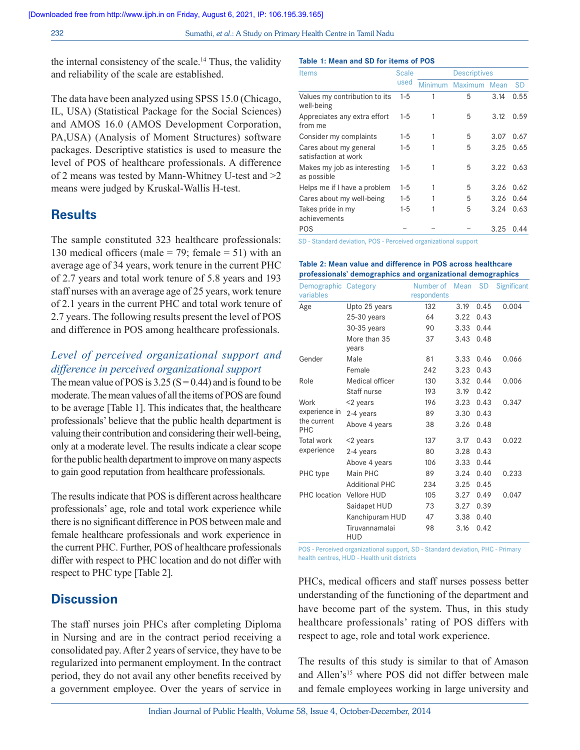the internal consistency of the scale.<sup>14</sup> Thus, the validity and reliability of the scale are established.

The data have been analyzed using SPSS 15.0 (Chicago, IL, USA) (Statistical Package for the Social Sciences) and AMOS 16.0 (AMOS Development Corporation, PA,USA) (Analysis of Moment Structures) software packages. Descriptive statistics is used to measure the level of POS of healthcare professionals. A difference of 2 means was tested by Mann-Whitney U-test and >2 means were judged by Kruskal-Wallis H-test.

# **Results**

The sample constituted 323 healthcare professionals: 130 medical officers (male = 79; female = 51) with an average age of 34 years, work tenure in the current PHC of 2.7 years and total work tenure of 5.8 years and 193 staff nurses with an average age of 25 years, work tenure of 2.1 years in the current PHC and total work tenure of 2.7 years. The following results present the level of POS and difference in POS among healthcare professionals.

### *Level of perceived organizational support and difference in perceived organizational support*

The mean value of POS is  $3.25$  (S = 0.44) and is found to be moderate. The mean values of all the items of POS are found to be average [Table 1]. This indicates that, the healthcare professionals' believe that the public health department is valuing their contribution and considering their well-being, only at a moderate level. The results indicate a clear scope for the public health department to improve on many aspects to gain good reputation from healthcare professionals.

The results indicate that POS is different across healthcare professionals' age, role and total work experience while there is no significant difference in POS between male and female healthcare professionals and work experience in the current PHC. Further, POS of healthcare professionals differ with respect to PHC location and do not differ with respect to PHC type [Table 2].

# **Discussion**

The staff nurses join PHCs after completing Diploma in Nursing and are in the contract period receiving a consolidated pay. After 2 years of service, they have to be regularized into permanent employment. In the contract period, they do not avail any other benefits received by a government employee. Over the years of service in

#### **Table 1: Mean and SD for items of POS**

| <b>Items</b>                                   | <b>Scale</b><br>used | <b>Descriptives</b> |                |      |           |
|------------------------------------------------|----------------------|---------------------|----------------|------|-----------|
|                                                |                      | Minimum             | <b>Maximum</b> | Mean | <b>SD</b> |
| Values my contribution to its<br>well-being    | $1 - 5$              | 1                   | 5              | 3.14 | 0.55      |
| Appreciates any extra effort<br>from me        | $1 - 5$              |                     | 5              | 3.12 | 0.59      |
| Consider my complaints                         | $1-5$                |                     | 5              | 3.07 | 0.67      |
| Cares about my general<br>satisfaction at work | $1 - 5$              |                     | 5              | 3.25 | 0.65      |
| Makes my job as interesting<br>as possible     | $1 - 5$              |                     | 5              | 3.22 | 0.63      |
| Helps me if I have a problem                   | $1 - 5$              |                     | 5              | 3.26 | 0.62      |
| Cares about my well-being                      | $1 - 5$              |                     | 5              | 3.26 | 0.64      |
| Takes pride in my<br>achievements              | $1-5$                |                     | 5              | 3.24 | 0.63      |
| POS                                            |                      |                     |                | 3.25 | 0.44      |

SD - Standard deviation, POS - Perceived organizational support

#### **Table 2: Mean value and difference in POS across healthcare professionals' demographics and organizational demographics**

| Demographic Category<br>variables |                       | Number of<br>respondents | Mean | <b>SD</b> | <b>Significant</b> |
|-----------------------------------|-----------------------|--------------------------|------|-----------|--------------------|
| Age                               | Upto 25 years         | 132                      | 3.19 | 0.45      | 0.004              |
|                                   | $25-30$ years         | 64                       | 3.22 | 0.43      |                    |
|                                   | 30-35 years           | 90                       | 3.33 | 0.44      |                    |
|                                   | More than 35<br>years | 37                       | 3.43 | 0.48      |                    |
| Gender                            | Male                  | 81                       | 3.33 | 0.46      | 0.066              |
|                                   | Female                | 242                      | 3.23 | 0.43      |                    |
| Role                              | Medical officer       | 130                      | 3.32 | 0.44      | 0.006              |
|                                   | Staff nurse           | 193                      | 3.19 | 0.42      |                    |
| Work                              | $<$ 2 years           | 196                      | 3.23 | 0.43      | 0.347              |
| experience in                     | 2-4 years             | 89                       | 3.30 | 0.43      |                    |
| the current<br>PHC                | Above 4 years         | 38                       | 3.26 | 0.48      |                    |
| <b>Total work</b>                 | $<$ 2 years           | 137                      | 3.17 | 0.43      | 0.022              |
| experience                        | 2-4 years             | 80                       | 3.28 | 0.43      |                    |
|                                   | Above 4 years         | 106                      | 3.33 | 0.44      |                    |
| PHC type                          | Main PHC              | 89                       | 3.24 | 0.40      | 0.233              |
|                                   | <b>Additional PHC</b> | 234                      | 3.25 | 0.45      |                    |
| <b>PHC</b> location               | <b>Vellore HUD</b>    | 105                      | 3.27 | 0.49      | 0.047              |
|                                   | Saidapet HUD          | 73                       | 3.27 | 0.39      |                    |
|                                   | Kanchipuram HUD       | 47                       | 3.38 | 0.40      |                    |
|                                   | Tiruvannamalai<br>HUD | 98                       | 3.16 | 0.42      |                    |

POS - Perceived organizational support, SD - Standard deviation, PHC - Primary health centres, HUD - Health unit districts

PHCs, medical officers and staff nurses possess better understanding of the functioning of the department and have become part of the system. Thus, in this study healthcare professionals' rating of POS differs with respect to age, role and total work experience.

The results of this study is similar to that of Amason and Allen's<sup>15</sup> where POS did not differ between male and female employees working in large university and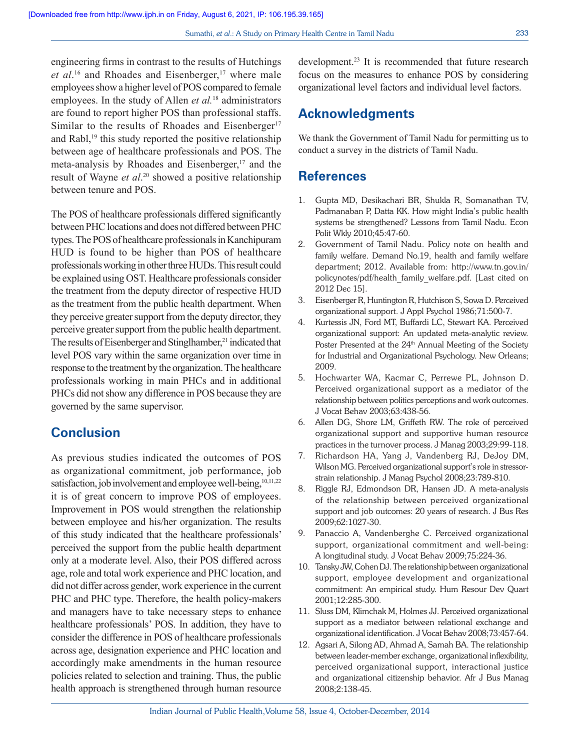engineering firms in contrast to the results of Hutchings et al.<sup>16</sup> and Rhoades and Eisenberger,<sup>17</sup> where male employees show a higher level of POS compared to female employees. In the study of Allen *et al.*<sup>18</sup> administrators are found to report higher POS than professional staffs. Similar to the results of Rhoades and Eisenberger<sup>17</sup> and Rabl, $^{19}$  this study reported the positive relationship between age of healthcare professionals and POS. The meta-analysis by Rhoades and Eisenberger, $17$  and the result of Wayne *et al*. <sup>20</sup> showed a positive relationship between tenure and POS.

The POS of healthcare professionals differed significantly between PHC locations and does not differed between PHC types. The POS of healthcare professionals in Kanchipuram HUD is found to be higher than POS of healthcare professionals working in other three HUDs. This result could be explained using OST. Healthcare professionals consider the treatment from the deputy director of respective HUD as the treatment from the public health department. When they perceive greater support from the deputy director, they perceive greater support from the public health department. The results of Eisenberger and Stinglhamber,<sup>21</sup> indicated that level POS vary within the same organization over time in response to the treatment by the organization. The healthcare professionals working in main PHCs and in additional PHCs did not show any difference in POS because they are governed by the same supervisor.

# **Conclusion**

As previous studies indicated the outcomes of POS as organizational commitment, job performance, job satisfaction, job involvement and employee well-being, 10,11,22 it is of great concern to improve POS of employees. Improvement in POS would strengthen the relationship between employee and his/her organization. The results of this study indicated that the healthcare professionals' perceived the support from the public health department only at a moderate level. Also, their POS differed across age, role and total work experience and PHC location, and did not differ across gender, work experience in the current PHC and PHC type. Therefore, the health policy-makers and managers have to take necessary steps to enhance healthcare professionals' POS. In addition, they have to consider the difference in POS of healthcare professionals across age, designation experience and PHC location and accordingly make amendments in the human resource policies related to selection and training. Thus, the public health approach is strengthened through human resource development.<sup>23</sup> It is recommended that future research focus on the measures to enhance POS by considering organizational level factors and individual level factors.

# **Acknowledgments**

We thank the Government of Tamil Nadu for permitting us to conduct a survey in the districts of Tamil Nadu.

### **References**

- 1. Gupta MD, Desikachari BR, Shukla R, Somanathan TV, Padmanaban P, Datta KK. How might India's public health systems be strengthened? Lessons from Tamil Nadu. Econ Polit Wkly 2010;45:47-60.
- 2. Government of Tamil Nadu. Policy note on health and family welfare. Demand No.19, health and family welfare department; 2012. Available from: http://www.tn.gov.in/ policynotes/pdf/health\_family\_welfare.pdf. [Last cited on 2012 Dec 15].
- 3. Eisenberger R, Huntington R, Hutchison S, Sowa D. Perceived organizational support. J Appl Psychol 1986;71:500-7.
- 4. Kurtessis JN, Ford MT, Buffardi LC, Stewart KA. Perceived organizational support: An updated meta-analytic review. Poster Presented at the 24<sup>th</sup> Annual Meeting of the Society for Industrial and Organizational Psychology. New Orleans; 2009.
- 5. Hochwarter WA, Kacmar C, Perrewe PL, Johnson D. Perceived organizational support as a mediator of the relationship between politics perceptions and work outcomes. J Vocat Behav 2003;63:438-56.
- 6. Allen DG, Shore LM, Griffeth RW. The role of perceived organizational support and supportive human resource practices in the turnover process. J Manag 2003;29:99-118.
- 7. Richardson HA, Yang J, Vandenberg RJ, DeJoy DM, Wilson MG. Perceived organizational support's role in stressorstrain relationship. J Manag Psychol 2008;23:789-810.
- 8. Riggle RJ, Edmondson DR, Hansen JD. A meta-analysis of the relationship between perceived organizational support and job outcomes: 20 years of research. J Bus Res 2009;62:1027-30.
- 9. Panaccio A, Vandenberghe C. Perceived organizational support, organizational commitment and well-being: A longitudinal study. J Vocat Behav 2009;75:224-36.
- 10. Tansky JW, Cohen DJ. The relationship between organizational support, employee development and organizational commitment: An empirical study. Hum Resour Dev Quart 2001;12:285-300.
- 11. Sluss DM, Klimchak M, Holmes JJ. Perceived organizational support as a mediator between relational exchange and organizational identification. J Vocat Behav 2008;73:457-64.
- 12. Agsari A, Silong AD, Ahmad A, Samah BA. The relationship between leader-member exchange, organizational inflexibility, perceived organizational support, interactional justice and organizational citizenship behavior. Afr J Bus Manag 2008;2:138-45.